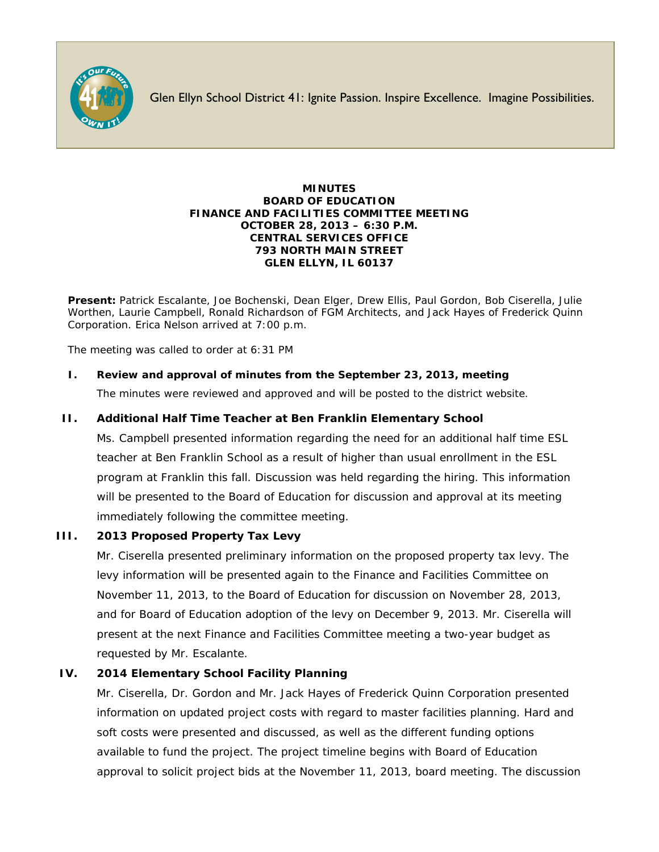

Glen Ellyn School District 41: Ignite Passion. Inspire Excellence. Imagine Possibilities.

#### **MINUTES BOARD OF EDUCATION FINANCE AND FACILITIES COMMITTEE MEETING OCTOBER 28, 2013 – 6:30 P.M. CENTRAL SERVICES OFFICE 793 NORTH MAIN STREET GLEN ELLYN, IL 60137**

**Present:** Patrick Escalante, Joe Bochenski, Dean Elger, Drew Ellis, Paul Gordon, Bob Ciserella, Julie Worthen, Laurie Campbell, Ronald Richardson of FGM Architects, and Jack Hayes of Frederick Quinn Corporation. Erica Nelson arrived at 7:00 p.m.

The meeting was called to order at 6:31 PM

# **I. Review and approval of minutes from the September 23, 2013, meeting**

The minutes were reviewed and approved and will be posted to the district website.

### **II. Additional Half Time Teacher at Ben Franklin Elementary School**

Ms. Campbell presented information regarding the need for an additional half time ESL teacher at Ben Franklin School as a result of higher than usual enrollment in the ESL program at Franklin this fall. Discussion was held regarding the hiring. This information will be presented to the Board of Education for discussion and approval at its meeting immediately following the committee meeting.

#### **III. 2013 Proposed Property Tax Levy**

Mr. Ciserella presented preliminary information on the proposed property tax levy. The levy information will be presented again to the Finance and Facilities Committee on November 11, 2013, to the Board of Education for discussion on November 28, 2013, and for Board of Education adoption of the levy on December 9, 2013. Mr. Ciserella will present at the next Finance and Facilities Committee meeting a two-year budget as requested by Mr. Escalante.

#### **IV. 2014 Elementary School Facility Planning**

Mr. Ciserella, Dr. Gordon and Mr. Jack Hayes of Frederick Quinn Corporation presented information on updated project costs with regard to master facilities planning. Hard and soft costs were presented and discussed, as well as the different funding options available to fund the project. The project timeline begins with Board of Education approval to solicit project bids at the November 11, 2013, board meeting. The discussion